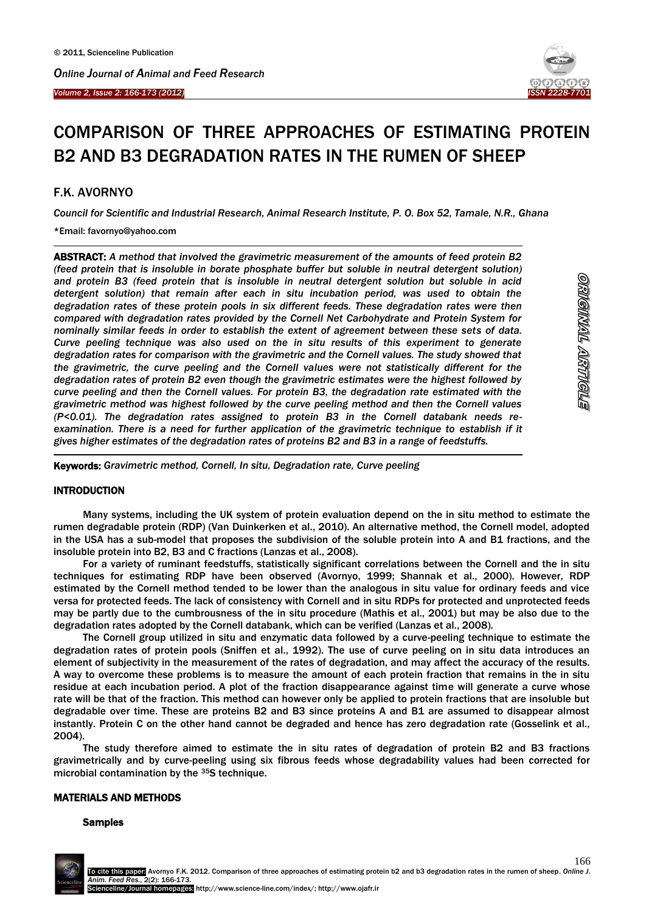



# COMPARISON OF THREE APPROACHES OF ESTIMATING PROTEIN B2 AND B3 DEGRADATION RATES IN THE RUMEN OF SHEEP

# F.K. AVORNYO

 $\overline{a}$ 

 $\overline{a}$ 

*Council for Scientific and Industrial Research, Animal Research Institute, P. O. Box 52, Tamale, N.R., Ghana*

# \*Email: favornyo@yahoo.com

ABSTRACT: *A method that involved the gravimetric measurement of the amounts of feed protein B2 (feed protein that is insoluble in borate phosphate buffer but soluble in neutral detergent solution) and protein B3 (feed protein that is insoluble in neutral detergent solution but soluble in acid detergent solution) that remain after each in situ incubation period, was used to obtain the degradation rates of these protein pools in six different feeds. These degradation rates were then compared with degradation rates provided by the Cornell Net Carbohydrate and Protein System for nominally similar feeds in order to establish the extent of agreement between these sets of data. Curve peeling technique was also used on the in situ results of this experiment to generate degradation rates for comparison with the gravimetric and the Cornell values. The study showed that the gravimetric, the curve peeling and the Cornell values were not statistically different for the degradation rates of protein B2 even though the gravimetric estimates were the highest followed by curve peeling and then the Cornell values. For protein B3, the degradation rate estimated with the gravimetric method was highest followed by the curve peeling method and then the Cornell values (P<0.01). The degradation rates assigned to protein B3 in the Cornell databank needs reexamination. There is a need for further application of the gravimetric technique to establish if it gives higher estimates of the degradation rates of proteins B2 and B3 in a range of feedstuffs.*

Keywords: *Gravimetric method, Cornell, In situ, Degradation rate, Curve peeling*

# **INTRODUCTION**

Many systems, including the UK system of protein evaluation depend on the in situ method to estimate the rumen degradable protein (RDP) (Van Duinkerken et al., 2010). An alternative method, the Cornell model, adopted in the USA has a sub-model that proposes the subdivision of the soluble protein into A and B1 fractions, and the insoluble protein into B2, B3 and C fractions (Lanzas et al., 2008).

For a variety of ruminant feedstuffs, statistically significant correlations between the Cornell and the in situ techniques for estimating RDP have been observed (Avornyo, 1999; Shannak et al., 2000). However, RDP estimated by the Cornell method tended to be lower than the analogous in situ value for ordinary feeds and vice versa for protected feeds. The lack of consistency with Cornell and in situ RDPs for protected and unprotected feeds may be partly due to the cumbrousness of the in situ procedure (Mathis et al., 2001) but may be also due to the degradation rates adopted by the Cornell databank, which can be verified (Lanzas et al., 2008).

The Cornell group utilized in situ and enzymatic data followed by a curve-peeling technique to estimate the degradation rates of protein pools (Sniffen et al., 1992). The use of curve peeling on in situ data introduces an element of subjectivity in the measurement of the rates of degradation, and may affect the accuracy of the results. A way to overcome these problems is to measure the amount of each protein fraction that remains in the in situ residue at each incubation period. A plot of the fraction disappearance against time will generate a curve whose rate will be that of the fraction. This method can however only be applied to protein fractions that are insoluble but degradable over time. These are proteins B2 and B3 since proteins A and B1 are assumed to disappear almost instantly. Protein C on the other hand cannot be degraded and hence has zero degradation rate (Gosselink et al., 2004).

The study therefore aimed to estimate the in situ rates of degradation of protein B2 and B3 fractions gravimetrically and by curve-peeling using six fibrous feeds whose degradability values had been corrected for microbial contamination by the 35S technique.

## MATERIALS AND METHODS

## Samples

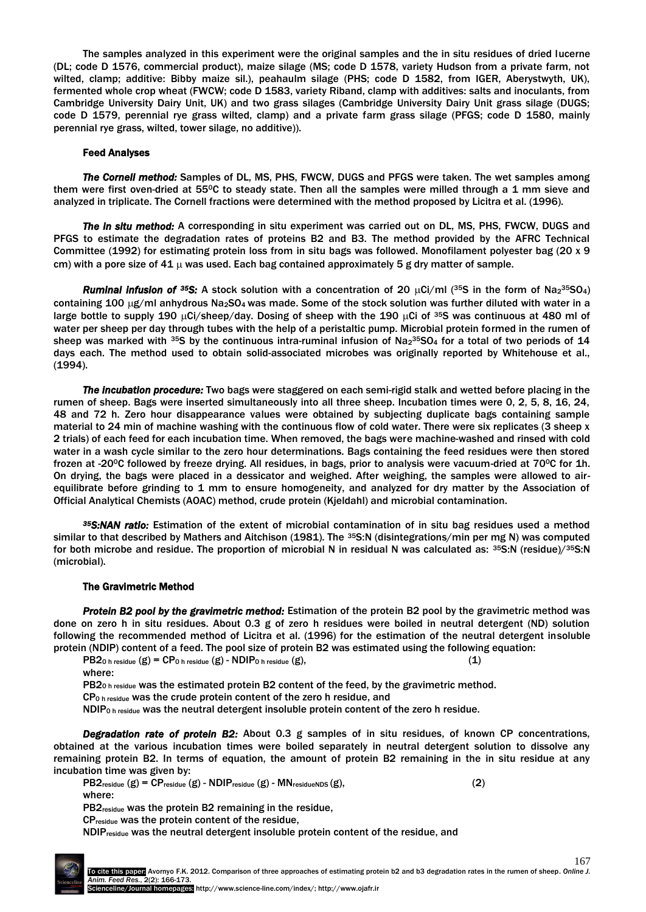The samples analyzed in this experiment were the original samples and the in situ residues of dried lucerne (DL; code D 1576, commercial product), maize silage (MS; code D 1578, variety Hudson from a private farm, not wilted, clamp; additive: Bibby maize sil.), peahaulm silage (PHS; code D 1582, from IGER, Aberystwyth, UK), fermented whole crop wheat (FWCW; code D 1583, variety Riband, clamp with additives: salts and inoculants, from Cambridge University Dairy Unit, UK) and two grass silages (Cambridge University Dairy Unit grass silage (DUGS; code D 1579, perennial rye grass wilted, clamp) and a private farm grass silage (PFGS; code D 1580, mainly perennial rye grass, wilted, tower silage, no additive)).

## Feed Analyses

*The Cornell method:* Samples of DL, MS, PHS, FWCW, DUGS and PFGS were taken. The wet samples among them were first oven-dried at 550C to steady state. Then all the samples were milled through a 1 mm sieve and analyzed in triplicate. The Cornell fractions were determined with the method proposed by Licitra et al. (1996).

*The in situ method:* A corresponding in situ experiment was carried out on DL, MS, PHS, FWCW, DUGS and PFGS to estimate the degradation rates of proteins B2 and B3. The method provided by the AFRC Technical Committee (1992) for estimating protein loss from in situ bags was followed. Monofilament polyester bag (20 x 9 cm) with a pore size of 41  $\mu$  was used. Each bag contained approximately 5 g dry matter of sample.

*Ruminal infusion of <sup>35</sup>S:* A stock solution with a concentration of 20  $\mu$ Ci/ml (<sup>35</sup>S in the form of Na<sub>2</sub>35O<sub>4</sub>) containing 100  $\mu$ g/ml anhydrous Na<sub>2</sub>SO<sub>4</sub> was made. Some of the stock solution was further diluted with water in a large bottle to supply 190  $\mu$ Ci/sheep/day. Dosing of sheep with the 190  $\mu$ Ci of <sup>35</sup>S was continuous at 480 ml of water per sheep per day through tubes with the help of a peristaltic pump. Microbial protein formed in the rumen of sheep was marked with <sup>35</sup>S by the continuous intra-ruminal infusion of Na<sub>2</sub><sup>35</sup>SO<sub>4</sub> for a total of two periods of 14 days each. The method used to obtain solid-associated microbes was originally reported by Whitehouse et al., (1994).

*The incubation procedure:* Two bags were staggered on each semi-rigid stalk and wetted before placing in the rumen of sheep. Bags were inserted simultaneously into all three sheep. Incubation times were 0, 2, 5, 8, 16, 24, 48 and 72 h. Zero hour disappearance values were obtained by subjecting duplicate bags containing sample material to 24 min of machine washing with the continuous flow of cold water. There were six replicates (3 sheep x 2 trials) of each feed for each incubation time. When removed, the bags were machine-washed and rinsed with cold water in a wash cycle similar to the zero hour determinations. Bags containing the feed residues were then stored frozen at -20<sup>o</sup>C followed by freeze drying. All residues, in bags, prior to analysis were vacuum-dried at 70<sup>o</sup>C for 1h. On drying, the bags were placed in a dessicator and weighed. After weighing, the samples were allowed to airequilibrate before grinding to 1 mm to ensure homogeneity, and analyzed for dry matter by the Association of Official Analytical Chemists (AOAC) method, crude protein (Kjeldahl) and microbial contamination.

*<sup>35</sup>S:NAN ratio:* Estimation of the extent of microbial contamination of in situ bag residues used a method similar to that described by Mathers and Aitchison (1981). The 35S:N (disintegrations/min per mg N) was computed for both microbe and residue. The proportion of microbial N in residual N was calculated as: <sup>35</sup>S:N (residue)/<sup>35</sup>S:N (microbial).

## The Gravimetric Method

*Protein B2 pool by the gravimetric method:* Estimation of the protein B2 pool by the gravimetric method was done on zero h in situ residues. About 0.3 g of zero h residues were boiled in neutral detergent (ND) solution following the recommended method of Licitra et al. (1996) for the estimation of the neutral detergent insoluble protein (NDIP) content of a feed. The pool size of protein B2 was estimated using the following equation:

 $PB20 h$  residue  $(g) = CP0 h$  residue  $(g)$  - NDIP0 h residue  $(g)$ , (1)

where:

PB2<sub>0</sub> h residue was the estimated protein B2 content of the feed, by the gravimetric method.

CP<sub>0</sub> h residue was the crude protein content of the zero h residue, and

NDIP<sub>0</sub> h residue was the neutral detergent insoluble protein content of the zero h residue.

*Degradation rate of protein B2:* About 0.3 g samples of in situ residues, of known CP concentrations, obtained at the various incubation times were boiled separately in neutral detergent solution to dissolve any remaining protein B2. In terms of equation, the amount of protein B2 remaining in the in situ residue at any incubation time was given by:

 $PB2_{residue} (g) = CP_{residue} (g) - NDIP_{residue} (g) - MN_{residueNDS} (g),$  (2) where:

PB2residue was the protein B2 remaining in the residue,

CPresidue was the protein content of the residue,

NDIPresidue was the neutral detergent insoluble protein content of the residue, and

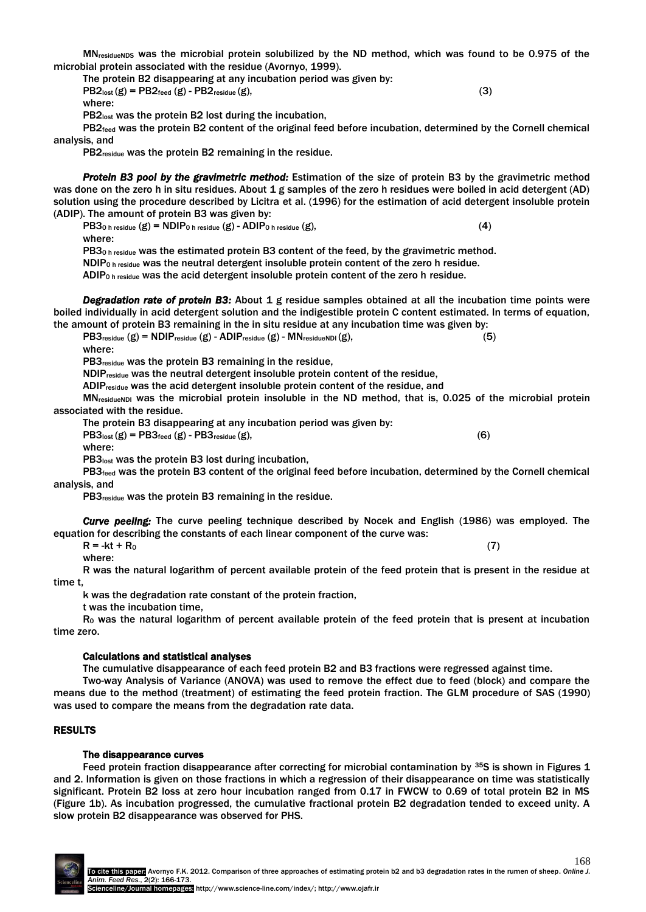MN<sub>residueNDS</sub> was the microbial protein solubilized by the ND method, which was found to be 0.975 of the microbial protein associated with the residue (Avornyo, 1999).

The protein B2 disappearing at any incubation period was given by:

 $PB2<sub>lost</sub>(g) = PB2<sub>feed</sub>(g) - PB2<sub>residue</sub>(g),$ (3) where:

PB2lost was the protein B2 lost during the incubation,

PB2feed was the protein B2 content of the original feed before incubation, determined by the Cornell chemical analysis, and

PB2residue was the protein B2 remaining in the residue.

*Protein B3 pool by the gravimetric method:* Estimation of the size of protein B3 by the gravimetric method was done on the zero h in situ residues. About 1 g samples of the zero h residues were boiled in acid detergent (AD) solution using the procedure described by Licitra et al. (1996) for the estimation of acid detergent insoluble protein (ADIP). The amount of protein B3 was given by:

 $PB30 h$  residue  $(g)$  = NDIP<sub>0</sub> h residue  $(g)$  - ADIP<sub>0</sub> h residue  $(g)$ , (4)

where: PB3<sub>0</sub> h residue was the estimated protein B3 content of the feed, by the gravimetric method.

NDIP<sub>0</sub> h residue was the neutral detergent insoluble protein content of the zero h residue.

ADIP<sub>0</sub> h residue was the acid detergent insoluble protein content of the zero h residue.

*Degradation rate of protein B3:* About 1 g residue samples obtained at all the incubation time points were boiled individually in acid detergent solution and the indigestible protein C content estimated. In terms of equation, the amount of protein B3 remaining in the in situ residue at any incubation time was given by:

 $PB3$ residue  $(g)$  = NDIPresidue  $(g)$  - ADIPresidue  $(g)$  - MNresidueNDI  $(g)$ , (5)

where:

PB3residue was the protein B3 remaining in the residue,

NDIPresidue was the neutral detergent insoluble protein content of the residue,

ADIPresidue was the acid detergent insoluble protein content of the residue, and

MN<sub>residueNDI</sub> was the microbial protein insoluble in the ND method, that is, 0.025 of the microbial protein associated with the residue.

The protein B3 disappearing at any incubation period was given by:

 $PB3<sub>lost</sub>(g) = PB3<sub>feed</sub>(g) - PB3<sub>residue</sub>(g),$  (6) where:

PB3<sub>lost</sub> was the protein B3 lost during incubation.

PB3feed was the protein B3 content of the original feed before incubation, determined by the Cornell chemical analysis, and

PB3residue was the protein B3 remaining in the residue.

*Curve peeling:* The curve peeling technique described by Nocek and English (1986) was employed. The equation for describing the constants of each linear component of the curve was:

 $R = -kt + R_0 \tag{7}$ 

where:

R was the natural logarithm of percent available protein of the feed protein that is present in the residue at time t,

k was the degradation rate constant of the protein fraction,

t was the incubation time,

R<sub>0</sub> was the natural logarithm of percent available protein of the feed protein that is present at incubation time zero.

# Calculations and statistical analyses

The cumulative disappearance of each feed protein B2 and B3 fractions were regressed against time.

Two-way Analysis of Variance (ANOVA) was used to remove the effect due to feed (block) and compare the means due to the method (treatment) of estimating the feed protein fraction. The GLM procedure of SAS (1990) was used to compare the means from the degradation rate data.

# RESULTS

# The disappearance curves

Feed protein fraction disappearance after correcting for microbial contamination by <sup>35</sup>S is shown in Figures 1 and 2. Information is given on those fractions in which a regression of their disappearance on time was statistically significant. Protein B2 loss at zero hour incubation ranged from 0.17 in FWCW to 0.69 of total protein B2 in MS (Figure 1b). As incubation progressed, the cumulative fractional protein B2 degradation tended to exceed unity. A slow protein B2 disappearance was observed for PHS.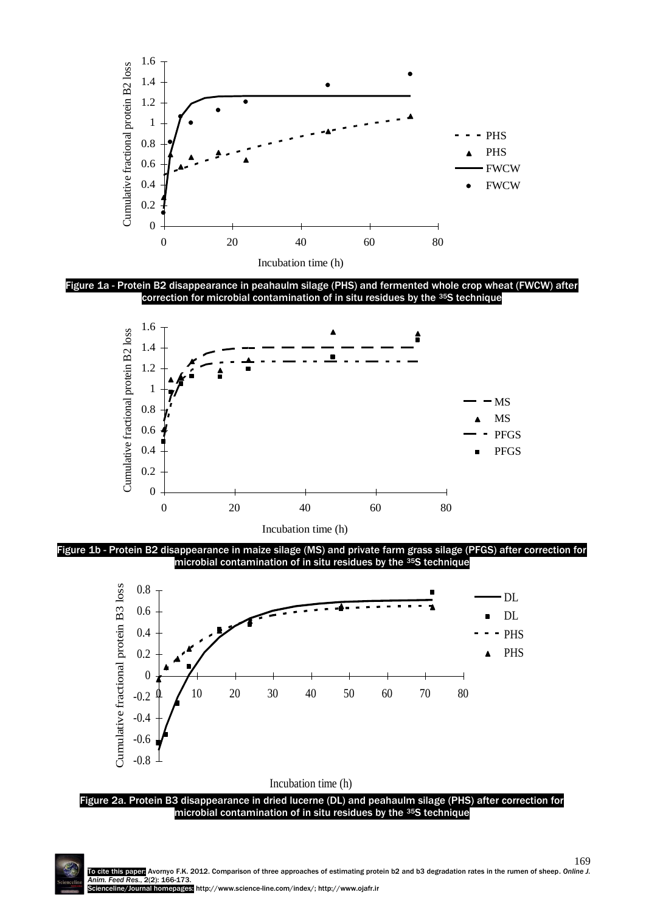

Figure 1a - Protein B2 disappearance in peahaulm silage (PHS) and fermented whole crop wheat (FWCW) after correction for microbial contamination of in situ residues by the <sup>35</sup>S technique



Incubation time (h)

Figure 1b - Protein B2 disappearance in maize silage (MS) and private farm grass silage (PFGS) after correction for microbial contamination of in situ residues by the <sup>35</sup>S technique



Figure 2a. Protein B3 disappearance in dried lucerne (DL) and peahaulm silage (PHS) after correction for microbial contamination of in situ residues by the <sup>35</sup>S technique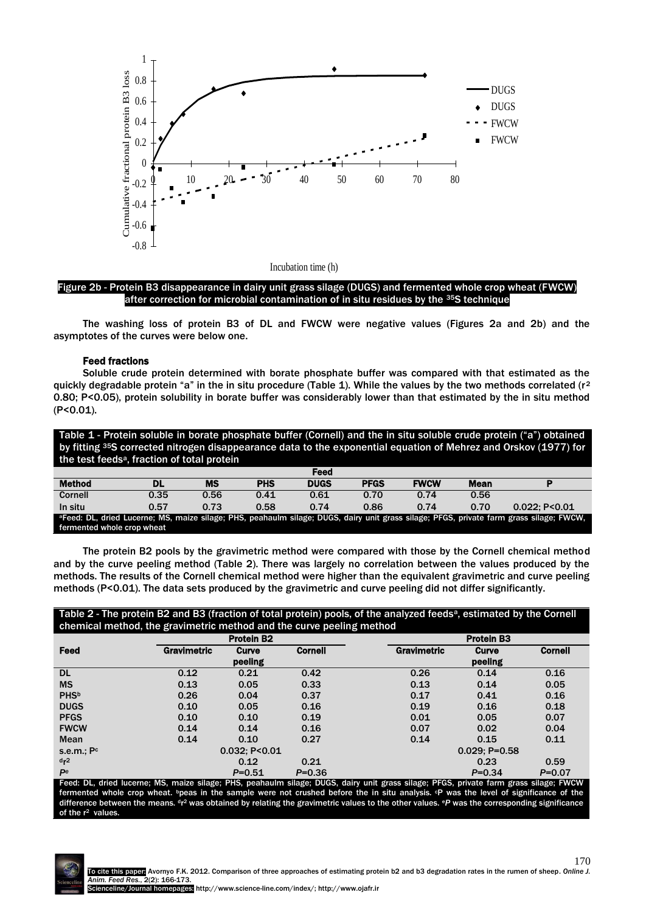

Figure 2b - Protein B3 disappearance in dairy unit grass silage (DUGS) and fermented whole crop wheat (FWCW) after correction for microbial contamination of in situ residues by the <sup>35</sup>S technique

The washing loss of protein B3 of DL and FWCW were negative values (Figures 2a and 2b) and the asymptotes of the curves were below one.

## Feed fractions

Soluble crude protein determined with borate phosphate buffer was compared with that estimated as the quickly degradable protein "a" in the in situ procedure (Table 1). While the values by the two methods correlated ( $r^2$ 0.80; P<0.05), protein solubility in borate buffer was considerably lower than that estimated by the in situ method (P<0.01).

Table 1 - Protein soluble in borate phosphate buffer (Cornell) and the in situ soluble crude protein ("a") obtained by fitting 35S corrected nitrogen disappearance data to the exponential equation of Mehrez and Orskov (1977) for the test feeds<sup>a</sup>, fraction of total protein

|                            |      |      |            | Feed        |             |             |             |                                                                                                                                                     |
|----------------------------|------|------|------------|-------------|-------------|-------------|-------------|-----------------------------------------------------------------------------------------------------------------------------------------------------|
| <b>Method</b>              | DL   | MS   | <b>PHS</b> | <b>DUGS</b> | <b>PFGS</b> | <b>FWCW</b> | <b>Mean</b> |                                                                                                                                                     |
| Cornell                    | 0.35 | 0.56 | 0.41       | 0.61        | 0.70        | 0.74        | 0.56        |                                                                                                                                                     |
| In situ                    | 0.57 | 0.73 | 0.58       | 0.74        | 0.86        | 0.74        | 0.70        | $0.022:$ P<0.01                                                                                                                                     |
|                            |      |      |            |             |             |             |             | <sup>a</sup> Feed: DL, dried Lucerne; MS, maize silage; PHS, peahaulm silage; DUGS, dairy unit grass silage; PFGS, private farm grass silage; FWCW, |
| fermented whole crop wheat |      |      |            |             |             |             |             |                                                                                                                                                     |

The protein B2 pools by the gravimetric method were compared with those by the Cornell chemical method and by the curve peeling method (Table 2). There was largely no correlation between the values produced by the methods. The results of the Cornell chemical method were higher than the equivalent gravimetric and curve peeling methods (P<0.01). The data sets produced by the gravimetric and curve peeling did not differ significantly.

| Table 2 - The protein B2 and B3 (fraction of total protein) pools, of the analyzed feeds <sup>a</sup> , estimated by the Cornell |
|----------------------------------------------------------------------------------------------------------------------------------|
| chemical method, the gravimetric method and the curve peeling method                                                             |

|                | <b>Protein B2</b> |            |                |                    | <b>Protein B3</b> |                |  |  |
|----------------|-------------------|------------|----------------|--------------------|-------------------|----------------|--|--|
| Feed           | Gravimetric       | Curve      | <b>Cornell</b> | <b>Gravimetric</b> | Curve             | <b>Cornell</b> |  |  |
|                |                   | peeling    |                |                    | peeling           |                |  |  |
| <b>DL</b>      | 0.12              | 0.21       | 0.42           | 0.26               | 0.14              | 0.16           |  |  |
| <b>MS</b>      | 0.13              | 0.05       | 0.33           | 0.13               | 0.14              | 0.05           |  |  |
| <b>PHSb</b>    | 0.26              | 0.04       | 0.37           | 0.17               | 0.41              | 0.16           |  |  |
| <b>DUGS</b>    | 0.10              | 0.05       | 0.16           | 0.19               | 0.16              | 0.18           |  |  |
| <b>PFGS</b>    | 0.10              | 0.10       | 0.19           | 0.01               | 0.05              | 0.07           |  |  |
| <b>FWCW</b>    | 0.14              | 0.14       | 0.16           | 0.07               | 0.02              | 0.04           |  |  |
| Mean           | 0.14              | 0.10       | 0.27           | 0.14               | 0.15              | 0.11           |  |  |
| s.e.m.; Po     | 0.032; P < 0.01   |            |                |                    | $0.029; P=0.58$   |                |  |  |
| d <sub>r</sub> |                   | 0.12       | 0.21           |                    | 0.23              | 0.59           |  |  |
| Pe             |                   | $P = 0.51$ | $P = 0.36$     |                    | $P = 0.34$        | $P = 0.07$     |  |  |

<sup>a</sup> Feed: DL, dried lucerne; MS, maize silage; PHS, peahaulm silage; DUGS, dairy unit grass silage; PFGS, private farm grass silage; FWCW fermented whole crop wheat. <sup>b</sup>peas in the sample were not crushed before the in situ analysis. <sup>o</sup>P was the level of significance of the difference between the means. <sup>d</sup>r<sup>2</sup> was obtained by relating the gravimetric values to the other values. <sup>e</sup>P was the corresponding significance of the  $r^2$  values.

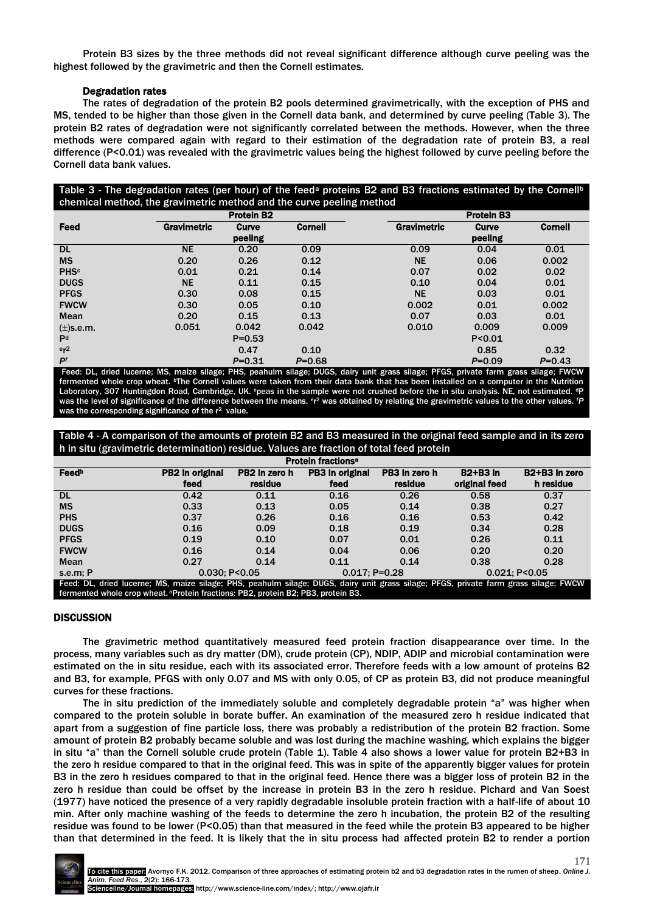Protein B3 sizes by the three methods did not reveal significant difference although curve peeling was the highest followed by the gravimetric and then the Cornell estimates.

# Degradation rates

The rates of degradation of the protein B2 pools determined gravimetrically, with the exception of PHS and MS, tended to be higher than those given in the Cornell data bank, and determined by curve peeling (Table 3). The protein B2 rates of degradation were not significantly correlated between the methods. However, when the three methods were compared again with regard to their estimation of the degradation rate of protein B3, a real difference (P<0.01) was revealed with the gravimetric values being the highest followed by curve peeling before the Cornell data bank values.

Table 3 - The degradation rates (per hour) of the feed<sup>a</sup> proteins B2 and B3 fractions estimated by the Cornell<sup>b</sup> chemical method, the gravimetric method and the curve peeling method

|                 | <b>Protein B2</b> |            |                | <b>Protein B3</b> |          |                |  |
|-----------------|-------------------|------------|----------------|-------------------|----------|----------------|--|
| Feed            | Gravimetric       | Curve      | <b>Cornell</b> | Gravimetric       | Curve    | <b>Cornell</b> |  |
|                 |                   | peeling    |                |                   | peeling  |                |  |
| <b>DL</b>       | <b>NE</b>         | 0.20       | 0.09           | 0.09              | 0.04     | 0.01           |  |
| <b>MS</b>       | 0.20              | 0.26       | 0.12           | <b>NE</b>         | 0.06     | 0.002          |  |
| <b>PHSc</b>     | 0.01              | 0.21       | 0.14           | 0.07              | 0.02     | 0.02           |  |
| <b>DUGS</b>     | <b>NE</b>         | 0.11       | 0.15           | 0.10              | 0.04     | 0.01           |  |
| <b>PFGS</b>     | 0.30              | 0.08       | 0.15           | <b>NE</b>         | 0.03     | 0.01           |  |
| <b>FWCW</b>     | 0.30              | 0.05       | 0.10           | 0.002             | 0.01     | 0.002          |  |
| Mean            | 0.20              | 0.15       | 0.13           | 0.07              | 0.03     | 0.01           |  |
| $(\pm)$ s.e.m.  | 0.051             | 0.042      | 0.042          | 0.010             | 0.009    | 0.009          |  |
| P <sup>d</sup>  |                   | $P = 0.53$ |                |                   | P < 0.01 |                |  |
| er <sup>2</sup> |                   | 0.47       | 0.10           |                   | 0.85     | 0.32           |  |
| P <sub>f</sub>  |                   | $P = 0.31$ | $P = 0.68$     |                   | $P=0.09$ | $P = 0.43$     |  |

Feed: DL, dried lucerne; MS, maize silage; PHS, peahulm silage; DUGS, dairy unit grass silage; PFGS, private farm grass silage; FWCW fermented whole crop wheat. bThe Cornell values were taken from their data bank that has been installed on a computer in the Nutrition Laboratory, 307 Huntingdon Road, Cambridge, UK. epeas in the sample were not crushed before the in situ analysis. NE, not estimated. <sup>a</sup>P was the level of significance of the difference between the means. <sup>e</sup>r<sup>2</sup> was obtained by relating the gravimetric values to the other values. *'P* was the corresponding significance of the r<sup>2</sup> value.

# Table 4 - A comparison of the amounts of protein B2 and B3 measured in the original feed sample and in its zero h in situ (gravimetric determination) residue. Values are fraction of total feed protein

| <b>Protein fractions<sup>a</sup></b>                                                                                                 |                 |               |                 |               |                 |                                        |  |
|--------------------------------------------------------------------------------------------------------------------------------------|-----------------|---------------|-----------------|---------------|-----------------|----------------------------------------|--|
| Feedb                                                                                                                                | PB2 in original | PB2 in zero h | PB3 in original | PB3 in zero h | <b>B2+B3</b> in | B <sub>2</sub> +B <sub>3</sub> in zero |  |
|                                                                                                                                      | feed            | residue       | feed            | residue       | original feed   | h residue                              |  |
| <b>DL</b>                                                                                                                            | 0.42            | 0.11          | 0.16            | 0.26          | 0.58            | 0.37                                   |  |
| <b>MS</b>                                                                                                                            | 0.33            | 0.13          | 0.05            | 0.14          | 0.38            | 0.27                                   |  |
| <b>PHS</b>                                                                                                                           | 0.37            | 0.26          | 0.16            | 0.16          | 0.53            | 0.42                                   |  |
| <b>DUGS</b>                                                                                                                          | 0.16            | 0.09          | 0.18            | 0.19          | 0.34            | 0.28                                   |  |
| <b>PFGS</b>                                                                                                                          | 0.19            | 0.10          | 0.07            | 0.01          | 0.26            | 0.11                                   |  |
| <b>FWCW</b>                                                                                                                          | 0.16            | 0.14          | 0.04            | 0.06          | 0.20            | 0.20                                   |  |
| Mean                                                                                                                                 | 0.27            | 0.14          | 0.11            | 0.14          | 0.38            | 0.28                                   |  |
| s.e.m; P                                                                                                                             | 0.030: P<0.05   |               | $0.017:$ P=0.28 |               | 0.021: P<0.05   |                                        |  |
| Feed: DL, dried lucerne; MS, maize silage; PHS, peahulm silage; DUGS, dairy unit grass silage; PFGS, private farm grass silage; FWCW |                 |               |                 |               |                 |                                        |  |
| fermented whole crop wheat. <sup>a</sup> Protein fractions: PB2, protein B2; PB3, protein B3.                                        |                 |               |                 |               |                 |                                        |  |

## **DISCUSSION**

The gravimetric method quantitatively measured feed protein fraction disappearance over time. In the process, many variables such as dry matter (DM), crude protein (CP), NDIP, ADIP and microbial contamination were estimated on the in situ residue, each with its associated error. Therefore feeds with a low amount of proteins B2 and B3, for example, PFGS with only 0.07 and MS with only 0.05, of CP as protein B3, did not produce meaningful curves for these fractions.

The in situ prediction of the immediately soluble and completely degradable protein "a" was higher when compared to the protein soluble in borate buffer. An examination of the measured zero h residue indicated that apart from a suggestion of fine particle loss, there was probably a redistribution of the protein B2 fraction. Some amount of protein B2 probably became soluble and was lost during the machine washing, which explains the bigger in situ "a" than the Cornell soluble crude protein (Table 1). Table 4 also shows a lower value for protein B2+B3 in the zero h residue compared to that in the original feed. This was in spite of the apparently bigger values for protein B3 in the zero h residues compared to that in the original feed. Hence there was a bigger loss of protein B2 in the zero h residue than could be offset by the increase in protein B3 in the zero h residue. Pichard and Van Soest (1977) have noticed the presence of a very rapidly degradable insoluble protein fraction with a half-life of about 10 min. After only machine washing of the feeds to determine the zero h incubation, the protein B2 of the resulting residue was found to be lower (P<0.05) than that measured in the feed while the protein B3 appeared to be higher than that determined in the feed. It is likely that the in situ process had affected protein B2 to render a portion

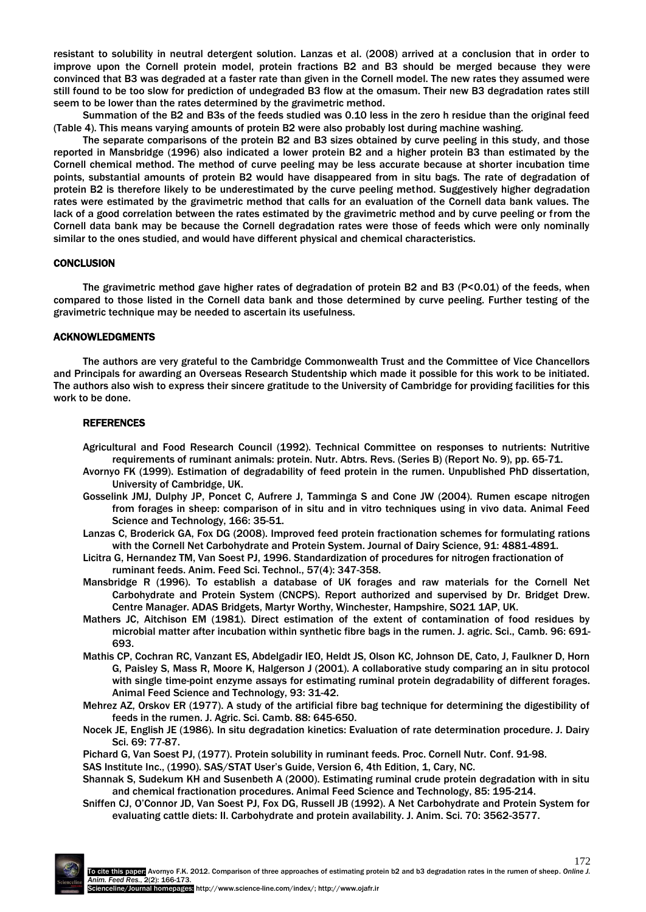resistant to solubility in neutral detergent solution. Lanzas et al. (2008) arrived at a conclusion that in order to improve upon the Cornell protein model, protein fractions B2 and B3 should be merged because they were convinced that B3 was degraded at a faster rate than given in the Cornell model. The new rates they assumed were still found to be too slow for prediction of undegraded B3 flow at the omasum. Their new B3 degradation rates still seem to be lower than the rates determined by the gravimetric method.

Summation of the B2 and B3s of the feeds studied was 0.10 less in the zero h residue than the original feed (Table 4). This means varying amounts of protein B2 were also probably lost during machine washing.

The separate comparisons of the protein B2 and B3 sizes obtained by curve peeling in this study, and those reported in Mansbridge (1996) also indicated a lower protein B2 and a higher protein B3 than estimated by the Cornell chemical method. The method of curve peeling may be less accurate because at shorter incubation time points, substantial amounts of protein B2 would have disappeared from in situ bags. The rate of degradation of protein B2 is therefore likely to be underestimated by the curve peeling method. Suggestively higher degradation rates were estimated by the gravimetric method that calls for an evaluation of the Cornell data bank values. The lack of a good correlation between the rates estimated by the gravimetric method and by curve peeling or from the Cornell data bank may be because the Cornell degradation rates were those of feeds which were only nominally similar to the ones studied, and would have different physical and chemical characteristics.

## **CONCLUSION**

The gravimetric method gave higher rates of degradation of protein B2 and B3 (P<0.01) of the feeds, when compared to those listed in the Cornell data bank and those determined by curve peeling. Further testing of the gravimetric technique may be needed to ascertain its usefulness.

#### ACKNOWLEDGMENTS

The authors are very grateful to the Cambridge Commonwealth Trust and the Committee of Vice Chancellors and Principals for awarding an Overseas Research Studentship which made it possible for this work to be initiated. The authors also wish to express their sincere gratitude to the University of Cambridge for providing facilities for this work to be done.

## **REFERENCES**

- Agricultural and Food Research Council (1992). Technical Committee on responses to nutrients: Nutritive requirements of ruminant animals: protein. Nutr. Abtrs. Revs. (Series B) (Report No. 9), pp. 65-71.
- Avornyo FK (1999). Estimation of degradability of feed protein in the rumen. Unpublished PhD dissertation, University of Cambridge, UK.
- Gosselink JMJ, Dulphy JP, Poncet C, Aufrere J, Tamminga S and Cone JW (2004). Rumen escape nitrogen from forages in sheep: comparison of in situ and in vitro techniques using in vivo data. Animal Feed Science and Technology, 166: 35-51.
- Lanzas C, Broderick GA, Fox DG (2008). Improved feed protein fractionation schemes for formulating rations with the Cornell Net Carbohydrate and Protein System. Journal of Dairy Science, 91: 4881-4891.
- Licitra G, Hernandez TM, Van Soest PJ, 1996. Standardization of procedures for nitrogen fractionation of ruminant feeds. Anim. Feed Sci. Technol., 57(4): 347-358.
- Mansbridge R (1996). To establish a database of UK forages and raw materials for the Cornell Net Carbohydrate and Protein System (CNCPS). Report authorized and supervised by Dr. Bridget Drew. Centre Manager. ADAS Bridgets, Martyr Worthy, Winchester, Hampshire, SO21 1AP, UK.
- Mathers JC, Aitchison EM (1981). Direct estimation of the extent of contamination of food residues by microbial matter after incubation within synthetic fibre bags in the rumen. J. agric. Sci., Camb. 96: 691- 693.
- Mathis CP, Cochran RC, Vanzant ES, Abdelgadir IEO, Heldt JS, Olson KC, Johnson DE, Cato, J, Faulkner D, Horn G, Paisley S, Mass R, Moore K, Halgerson J (2001). A collaborative study comparing an in situ protocol with single time-point enzyme assays for estimating ruminal protein degradability of different forages. Animal Feed Science and Technology, 93: 31-42.
- Mehrez AZ, Orskov ER (1977). A study of the artificial fibre bag technique for determining the digestibility of feeds in the rumen. J. Agric. Sci. Camb. 88: 645-650.
- Nocek JE, English JE (1986). In situ degradation kinetics: Evaluation of rate determination procedure. J. Dairy Sci. 69: 77-87.

Pichard G, Van Soest PJ, (1977). Protein solubility in ruminant feeds. Proc. Cornell Nutr. Conf. 91-98.

SAS Institute Inc., (1990). SAS/STAT User's Guide, Version 6, 4th Edition, 1, Cary, NC.

- Shannak S, Sudekum KH and Susenbeth A (2000). Estimating ruminal crude protein degradation with in situ and chemical fractionation procedures. Animal Feed Science and Technology, 85: 195-214.
- Sniffen CJ, O'Connor JD, Van Soest PJ, Fox DG, Russell JB (1992). A Net Carbohydrate and Protein System for evaluating cattle diets: II. Carbohydrate and protein availability. J. Anim. Sci. 70: 3562-3577.